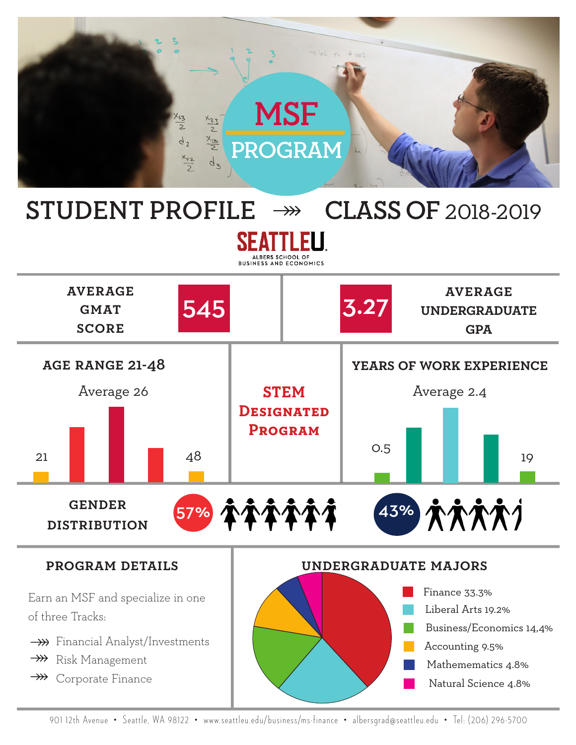

# **STUDENT PROFILE**  $\rightarrow$  **CLASS OF 2018-2019**